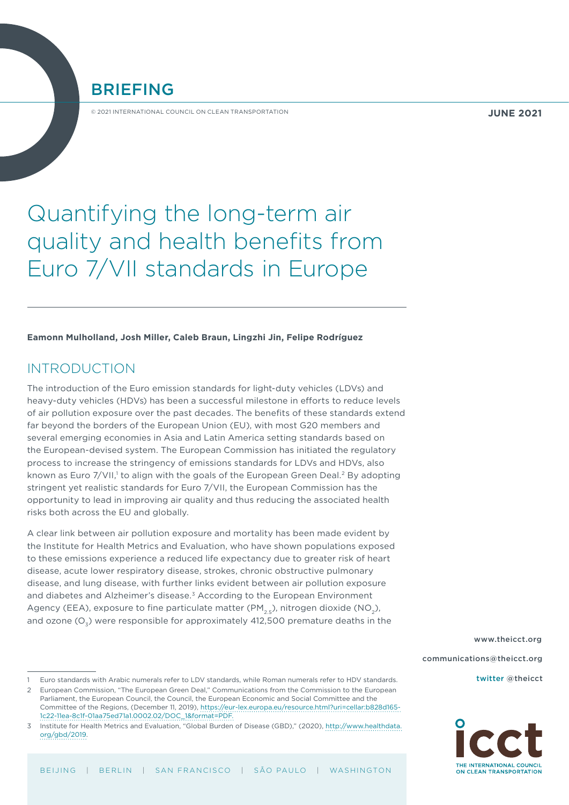BRIEFING

© 2021 INTERNATIONAL COUNCIL ON CLEAN TRANSPORTATION

# Quantifying the long-term air quality and health benefits from Euro 7/VII standards in Europe

**Eamonn Mulholland, Josh Miller, Caleb Braun, Lingzhi Jin, Felipe Rodríguez**

## INTRODUCTION

The introduction of the Euro emission standards for light-duty vehicles (LDVs) and heavy-duty vehicles (HDVs) has been a successful milestone in efforts to reduce levels of air pollution exposure over the past decades. The benefits of these standards extend far beyond the borders of the European Union (EU), with most G20 members and several emerging economies in Asia and Latin America setting standards based on the European-devised system. The European Commission has initiated the regulatory process to increase the stringency of emissions standards for LDVs and HDVs, also known as Euro 7/VII,1 to align with the goals of the European Green Deal.<sup>2</sup> By adopting stringent yet realistic standards for Euro 7/VII, the European Commission has the opportunity to lead in improving air quality and thus reducing the associated health risks both across the EU and globally.

A clear link between air pollution exposure and mortality has been made evident by the Institute for Health Metrics and Evaluation, who have shown populations exposed to these emissions experience a reduced life expectancy due to greater risk of heart disease, acute lower respiratory disease, strokes, chronic obstructive pulmonary disease, and lung disease, with further links evident between air pollution exposure and diabetes and Alzheimer's disease.3 According to the European Environment Agency (EEA), exposure to fine particulate matter ( $PM_{2.5}$ ), nitrogen dioxide (NO<sub>2</sub>), and ozone  $(O_3)$  were responsible for approximately 412,500 premature deaths in the

[www.theicct.org](http://www.theicct.org) [communications@theicct.org](mailto:communications@theicct.org    )  [twitter @theicct](https://twitter.com/TheICCT)



<sup>1</sup> Euro standards with Arabic numerals refer to LDV standards, while Roman numerals refer to HDV standards.

<sup>2</sup> European Commission, "The European Green Deal," Communications from the Commission to the European Parliament, the European Council, the Council, the European Economic and Social Committee and the Committee of the Regions, (December 11, 2019), [https://eur-lex.europa.eu/resource.html?uri=cellar:b828d165-](https://eur-lex.europa.eu/resource.html?uri=cellar:b828d165-1c22-11ea-8c1f-01aa75ed71a1.0002.02/DOC_1&format=PDF) [1c22-11ea-8c1f-01aa75ed71a1.0002.02/DOC\\_1&format=PDF.](https://eur-lex.europa.eu/resource.html?uri=cellar:b828d165-1c22-11ea-8c1f-01aa75ed71a1.0002.02/DOC_1&format=PDF)

<sup>3</sup> Institute for Health Metrics and Evaluation, "Global Burden of Disease (GBD)," (2020), [http://www.healthdata.](http://www.healthdata.org/gbd/2019) [org/gbd/2019](http://www.healthdata.org/gbd/2019).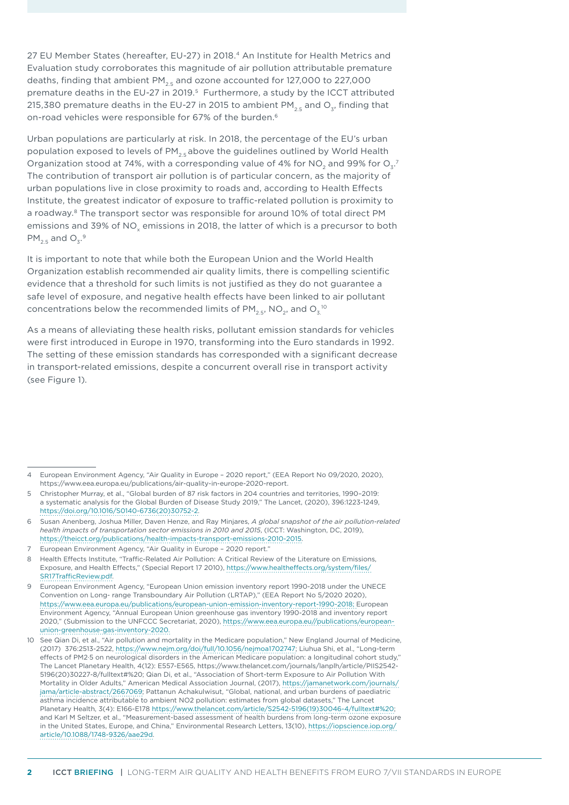27 EU Member States (hereafter, EU-27) in 2018.4 An Institute for Health Metrics and Evaluation study corroborates this magnitude of air pollution attributable premature deaths, finding that ambient  $PM_{2.5}$  and ozone accounted for 127,000 to 227,000 premature deaths in the EU-27 in 2019.5 Furthermore, a study by the ICCT attributed 215,380 premature deaths in the EU-27 in 2015 to ambient PM<sub>25</sub> and O<sub>2</sub>, finding that on-road vehicles were responsible for 67% of the burden.<sup>6</sup>

Urban populations are particularly at risk. In 2018, the percentage of the EU's urban population exposed to levels of  $PM_{2.5}$  above the guidelines outlined by World Health Organization stood at 74%, with a corresponding value of 4% for NO<sub>2</sub> and 99% for O<sub>3</sub>.<sup>7</sup> The contribution of transport air pollution is of particular concern, as the majority of urban populations live in close proximity to roads and, according to Health Effects Institute, the greatest indicator of exposure to traffic-related pollution is proximity to a roadway.8 The transport sector was responsible for around 10% of total direct PM emissions and 39% of NO<sub>v</sub> emissions in 2018, the latter of which is a precursor to both  $PM_{2.5}$  and  $O_3.^9$ 

It is important to note that while both the European Union and the World Health Organization establish recommended air quality limits, there is compelling scientific evidence that a threshold for such limits is not justified as they do not guarantee a safe level of exposure, and negative health effects have been linked to air pollutant concentrations below the recommended limits of PM $_{\textrm{2.5^{\prime}}}$  NO $_{\textrm{2^{\prime}}}$  and O $_{\textrm{3.}}$   $^{\textrm{10}}$ 

As a means of alleviating these health risks, pollutant emission standards for vehicles were first introduced in Europe in 1970, transforming into the Euro standards in 1992. The setting of these emission standards has corresponded with a significant decrease in transport-related emissions, despite a concurrent overall rise in transport activity (see Figure 1).

<sup>4</sup> European Environment Agency, "Air Quality in Europe – 2020 report," (EEA Report No 09/2020, 2020), <https://www.eea.europa.eu/publications/air-quality-in-europe-2020-report>.

<sup>5</sup> Christopher Murray, et al., "Global burden of 87 risk factors in 204 countries and territories, 1990–2019: a systematic analysis for the Global Burden of Disease Study 2019," The Lancet, (2020), 396:1223-1249, [https://doi.org/10.1016/S0140-6736\(20\)30752-2](https://doi.org/10.1016/S0140-6736(20)30752-2).

<sup>6</sup> Susan Anenberg, [Joshua Miller,](mailto:josh@theicct.org) Daven Henze, and Ray Minjares, *A global snapshot of the air pollution-related health impacts of transportation sector emissions in 2010 and 2015*, (ICCT: Washington, DC, 2019), [https://theicct.org/publications/health-impacts-transport-emissions-2010-2015.](https://theicct.org/publications/health-impacts-transport-emissions-2010-2015)

<sup>7</sup> European Environment Agency, "Air Quality in Europe – 2020 report."

<sup>8</sup> Health Effects Institute, "Traffic-Related Air Pollution: A Critical Review of the Literature on Emissions, Exposure, and Health Effects," (Special Report 17 2010), [https://www.healtheffects.org/system/files/](https://www.healtheffects.org/system/files/SR17TrafficReview.pdf) [SR17TrafficReview.pdf](https://www.healtheffects.org/system/files/SR17TrafficReview.pdf).

<sup>9</sup> European Environment Agency, "European Union emission inventory report 1990-2018 under the UNECE Convention on Long- range Transboundary Air Pollution (LRTAP)," (EEA Report No 5/2020 2020), <https://www.eea.europa.eu/publications/european-union-emission-inventory-report-1990-2018>; European Environment Agency, "Annual European Union greenhouse gas inventory 1990-2018 and inventory report 2020," (Submission to the UNFCCC Secretariat, 2020), [https://www.eea.europa.eu//publications/european](https://www.eea.europa.eu//publications/european-union-greenhouse-gas-inventory-2020)[union-greenhouse-gas-inventory-2020](https://www.eea.europa.eu//publications/european-union-greenhouse-gas-inventory-2020).

<sup>10</sup> See Qian Di, et al., "Air pollution and mortality in the Medicare population," New England Journal of Medicine, (2017) 376:2513-2522,<https://www.nejm.org/doi/full/10.1056/nejmoa1702747>; Liuhua Shi, et al., "Long-term effects of PM2·5 on neurological disorders in the American Medicare population: a longitudinal cohort study," The Lancet Planetary Health, 4(12): E557-E565, [https://www.thelancet.com/journals/lanplh/article/PIIS2542-](https://www.thelancet.com/journals/lanplh/article/PIIS2542-5196(20)30227-8/fulltext# ) [5196\(20\)30227-8/fulltext#%20](https://www.thelancet.com/journals/lanplh/article/PIIS2542-5196(20)30227-8/fulltext# ); Qian Di, et al., "Association of Short-term Exposure to Air Pollution With Mortality in Older Adults," American Medical Association Journal, (2017), [https://jamanetwork.com/journals/](https://jamanetwork.com/journals/jama/article-abstract/2667069) [jama/article-abstract/2667069;](https://jamanetwork.com/journals/jama/article-abstract/2667069) Pattanun Achakulwisut, "Global, national, and urban burdens of paediatric asthma incidence attributable to ambient NO2 pollution: estimates from global datasets," The Lancet Planetary Health, 3(4): E166-E178 [https://www.thelancet.com/article/S2542-5196\(19\)30046-4/fulltext#%20](https://www.thelancet.com/article/S2542-5196(19)30046-4/fulltext# ); and Karl M Seltzer, et al., "Measurement-based assessment of health burdens from long-term ozone exposure in the United States, Europe, and China," Environmental Research Letters, 13(10), [https://iopscience.iop.org/](https://iopscience.iop.org/article/10.1088/1748-9326/aae29d) [article/10.1088/1748-9326/aae29d.](https://iopscience.iop.org/article/10.1088/1748-9326/aae29d)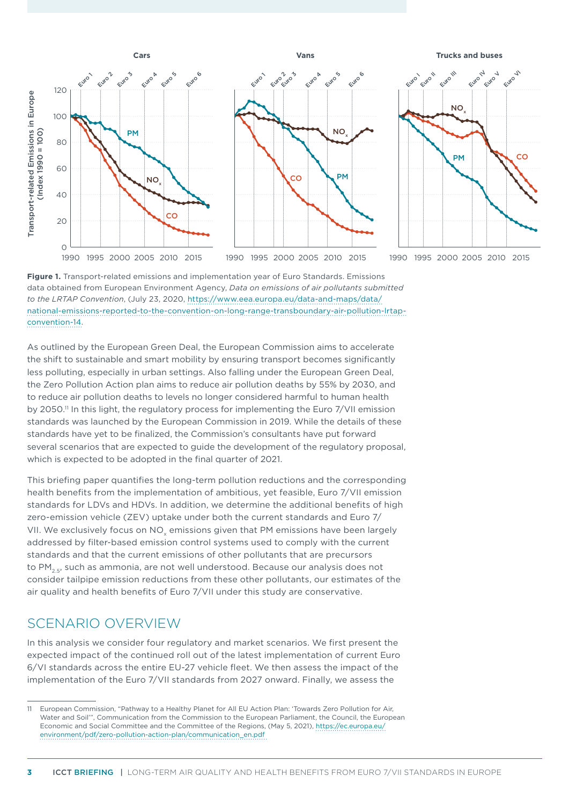

**Figure 1.** Transport-related emissions and implementation year of Euro Standards. Emissions data obtained from European Environment Agency, *Data on emissions of air pollutants submitted to the LRTAP Convention*, (July 23, 2020, [https://www.eea.europa.eu/data-and-maps/data/](https://www.eea.europa.eu/data-and-maps/data/national-emissions-reported-to-the-convention-on-long-range-transboundary-air-pollution-lrtap-convention-14) [national-emissions-reported-to-the-convention-on-long-range-transboundary-air-pollution-lrtap](https://www.eea.europa.eu/data-and-maps/data/national-emissions-reported-to-the-convention-on-long-range-transboundary-air-pollution-lrtap-convention-14)[convention-14](https://www.eea.europa.eu/data-and-maps/data/national-emissions-reported-to-the-convention-on-long-range-transboundary-air-pollution-lrtap-convention-14).

As outlined by the European Green Deal, the European Commission aims to accelerate the shift to sustainable and smart mobility by ensuring transport becomes significantly less polluting, especially in urban settings. Also falling under the European Green Deal, the Zero Pollution Action plan aims to reduce air pollution deaths by 55% by 2030, and to reduce air pollution deaths to levels no longer considered harmful to human health by 2050.<sup>11</sup> In this light, the regulatory process for implementing the Euro 7/VII emission standards was launched by the European Commission in 2019. While the details of these standards have yet to be finalized, the Commission's consultants have put forward several scenarios that are expected to guide the development of the regulatory proposal, which is expected to be adopted in the final quarter of 2021.

This briefing paper quantifies the long-term pollution reductions and the corresponding health benefits from the implementation of ambitious, yet feasible, Euro 7/VII emission standards for LDVs and HDVs. In addition, we determine the additional benefits of high zero-emission vehicle (ZEV) uptake under both the current standards and Euro 7/ VII. We exclusively focus on NO<sub>v</sub> emissions given that PM emissions have been largely addressed by filter-based emission control systems used to comply with the current standards and that the current emissions of other pollutants that are precursors to PM<sub>2.5</sub>, such as ammonia, are not well understood. Because our analysis does not consider tailpipe emission reductions from these other pollutants, our estimates of the air quality and health benefits of Euro 7/VII under this study are conservative.

## SCENARIO OVERVIEW

In this analysis we consider four regulatory and market scenarios. We first present the expected impact of the continued roll out of the latest implementation of current Euro 6/VI standards across the entire EU-27 vehicle fleet. We then assess the impact of the implementation of the Euro 7/VII standards from 2027 onward. Finally, we assess the

<sup>11</sup> European Commission, "Pathway to a Healthy Planet for All EU Action Plan: 'Towards Zero Pollution for Air, Water and Soil'", Communication from the Commission to the European Parliament, the Council, the European Economic and Social Committee and the Committee of the Regions, (May 5, 2021), [https://ec.europa.eu/](https://ec.europa.eu/environment/pdf/zero-pollution-action-plan/communication_en.pdf) [environment/pdf/zero-pollution-action-plan/communication\\_en.pdf](https://ec.europa.eu/environment/pdf/zero-pollution-action-plan/communication_en.pdf)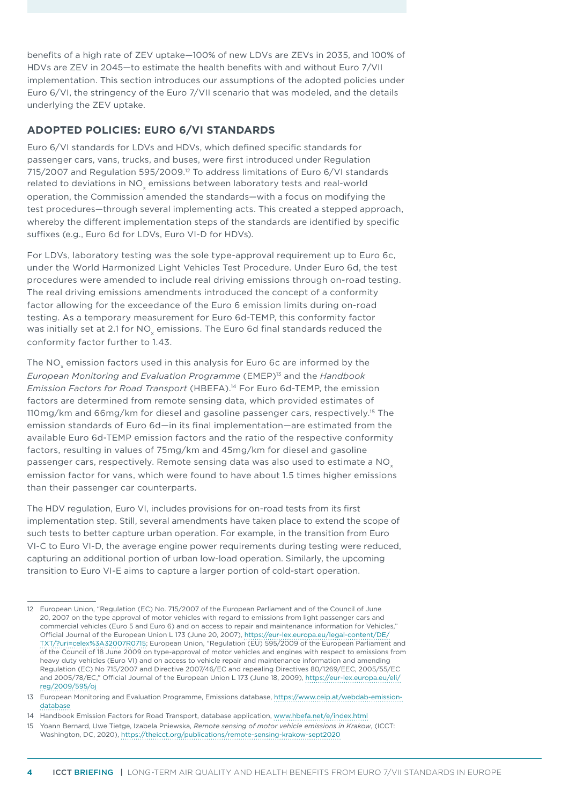benefits of a high rate of ZEV uptake—100% of new LDVs are ZEVs in 2035, and 100% of HDVs are ZEV in 2045—to estimate the health benefits with and without Euro 7/VII implementation. This section introduces our assumptions of the adopted policies under Euro 6/VI, the stringency of the Euro 7/VII scenario that was modeled, and the details underlying the ZEV uptake.

### **ADOPTED POLICIES: EURO 6/VI STANDARDS**

Euro 6/VI standards for LDVs and HDVs, which defined specific standards for passenger cars, vans, trucks, and buses, were first introduced under Regulation 715/2007 and Regulation 595/2009.<sup>12</sup> To address limitations of Euro 6/VI standards related to deviations in NO $_{\sf x}$  emissions between laboratory tests and real-world operation, the Commission amended the standards—with a focus on modifying the test procedures—through several implementing acts. This created a stepped approach, whereby the different implementation steps of the standards are identified by specific suffixes (e.g., Euro 6d for LDVs, Euro VI-D for HDVs).

For LDVs, laboratory testing was the sole type-approval requirement up to Euro 6c, under the World Harmonized Light Vehicles Test Procedure. Under Euro 6d, the test procedures were amended to include real driving emissions through on-road testing. The real driving emissions amendments introduced the concept of a conformity factor allowing for the exceedance of the Euro 6 emission limits during on-road testing. As a temporary measurement for Euro 6d-TEMP, this conformity factor was initially set at 2.1 for NO $_{\sf x}$  emissions. The Euro 6d final standards reduced the conformity factor further to 1.43.

The NO $_\mathrm{x}$  emission factors used in this analysis for Euro 6c are informed by the *European Monitoring and Evaluation Programme* (EMEP)<sup>13</sup> and the *Handbook Emission Factors for Road Transport* (HBEFA).14 For Euro 6d-TEMP, the emission factors are determined from remote sensing data, which provided estimates of 110mg/km and 66mg/km for diesel and gasoline passenger cars, respectively.15 The emission standards of Euro 6d—in its final implementation—are estimated from the available Euro 6d-TEMP emission factors and the ratio of the respective conformity factors, resulting in values of 75mg/km and 45mg/km for diesel and gasoline passenger cars, respectively. Remote sensing data was also used to estimate a  $NO<sub>x</sub>$ emission factor for vans, which were found to have about 1.5 times higher emissions than their passenger car counterparts.

The HDV regulation, Euro VI, includes provisions for on-road tests from its first implementation step. Still, several amendments have taken place to extend the scope of such tests to better capture urban operation. For example, in the transition from Euro VI-C to Euro VI-D, the average engine power requirements during testing were reduced, capturing an additional portion of urban low-load operation. Similarly, the upcoming transition to Euro VI-E aims to capture a larger portion of cold-start operation.

<sup>12</sup> European Union, "Regulation (EC) No. 715/2007 of the European Parliament and of the Council of June 20, 2007 on the type approval of motor vehicles with regard to emissions from light passenger cars and commercial vehicles (Euro 5 and Euro 6) and on access to repair and maintenance information for Vehicles," Official Journal of the European Union L 173 (June 20, 2007), [https://eur-lex.europa.eu/legal-content/DE/](https://eur-lex.europa.eu/legal-content/DE/TXT/?uri=celex%3A32007R0715) [TXT/?uri=celex%3A32007R0715;](https://eur-lex.europa.eu/legal-content/DE/TXT/?uri=celex%3A32007R0715) European Union, "Regulation (EU) 595/2009 of the European Parliament and of the Council of 18 June 2009 on type-approval of motor vehicles and engines with respect to emissions from heavy duty vehicles (Euro VI) and on access to vehicle repair and maintenance information and amending Regulation (EC) No 715/2007 and Directive 2007/46/EC and repealing Directives 80/1269/EEC, 2005/55/EC and 2005/78/EC," Official Journal of the European Union L 173 (June 18, 2009), [https://eur-lex.europa.eu/eli/](https://eur-lex.europa.eu/eli/reg/2009/595/oj) [reg/2009/595/oj](https://eur-lex.europa.eu/eli/reg/2009/595/oj)

<sup>13</sup> European Monitoring and Evaluation Programme, Emissions database, [https://www.ceip.at/webdab-emission](https://www.ceip.at/webdab-emission-database)[database](https://www.ceip.at/webdab-emission-database)

<sup>14</sup> Handbook Emission Factors for Road Transport, database application, [www.hbefa.net/e/index.html](http://www.hbefa.net/e/index.html)

<sup>15</sup> Yoann Bernard, Uwe Tietge, Izabela Pniewska, *Remote sensing of motor vehicle emissions in Krakow*, (ICCT: Washington, DC, 2020), <https://theicct.org/publications/remote-sensing-krakow-sept2020>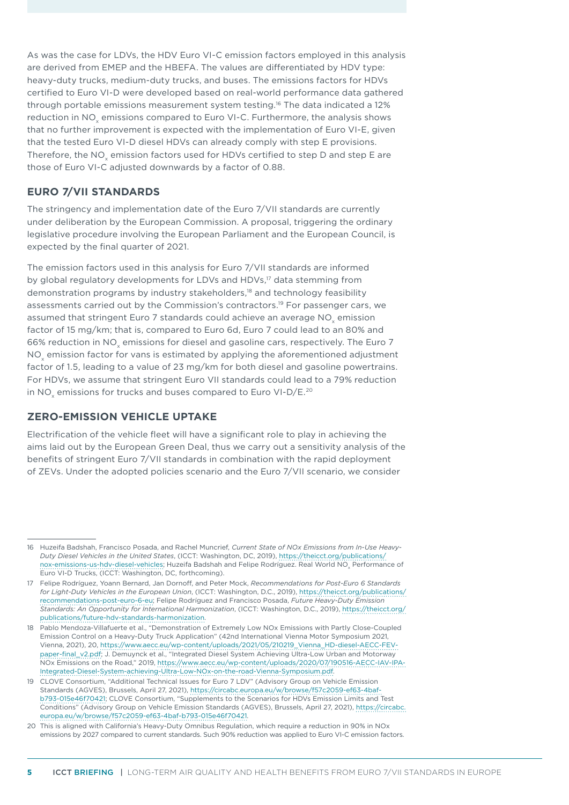As was the case for LDVs, the HDV Euro VI-C emission factors employed in this analysis are derived from EMEP and the HBEFA. The values are differentiated by HDV type: heavy-duty trucks, medium-duty trucks, and buses. The emissions factors for HDVs certified to Euro VI-D were developed based on real-world performance data gathered through portable emissions measurement system testing.16 The data indicated a 12% reduction in NO<sub>v</sub> emissions compared to Euro VI-C. Furthermore, the analysis shows that no further improvement is expected with the implementation of Euro VI-E, given that the tested Euro VI-D diesel HDVs can already comply with step E provisions. Therefore, the NO<sub>v</sub> emission factors used for HDVs certified to step D and step E are those of Euro VI-C adjusted downwards by a factor of 0.88.

#### **EURO 7/VII STANDARDS**

The stringency and implementation date of the Euro 7/VII standards are currently under deliberation by the European Commission. A proposal, triggering the ordinary legislative procedure involving the European Parliament and the European Council, is expected by the final quarter of 2021.

The emission factors used in this analysis for Euro 7/VII standards are informed by global regulatory developments for LDVs and HDVs,<sup>17</sup> data stemming from demonstration programs by industry stakeholders,18 and technology feasibility assessments carried out by the Commission's contractors.19 For passenger cars, we assumed that stringent Euro 7 standards could achieve an average NO<sub>v</sub> emission factor of 15 mg/km; that is, compared to Euro 6d, Euro 7 could lead to an 80% and 66% reduction in NO<sub>s</sub> emissions for diesel and gasoline cars, respectively. The Euro 7 NO<sub>v</sub> emission factor for vans is estimated by applying the aforementioned adjustment factor of 1.5, leading to a value of 23 mg/km for both diesel and gasoline powertrains. For HDVs, we assume that stringent Euro VII standards could lead to a 79% reduction in NO<sub>y</sub> emissions for trucks and buses compared to Euro VI-D/E.<sup>20</sup>

#### **ZERO-EMISSION VEHICLE UPTAKE**

Electrification of the vehicle fleet will have a significant role to play in achieving the aims laid out by the European Green Deal, thus we carry out a sensitivity analysis of the benefits of stringent Euro 7/VII standards in combination with the rapid deployment of ZEVs. Under the adopted policies scenario and the Euro 7/VII scenario, we consider

<sup>16</sup> Huzeifa Badshah, Francisco Posada, and Rachel Muncrief, *Current State of NOx Emissions from In-Use Heavy-Duty Diesel Vehicles in the United States*, (ICCT: Washington, DC, 2019), [https://theicct.org/publications/](https://theicct.org/publications/nox-emissions-us-hdv-diesel-vehicles) [nox-emissions-us-hdv-diesel-vehicles;](https://theicct.org/publications/nox-emissions-us-hdv-diesel-vehicles) Huzeifa Badshah and Felipe Rodríguez. Real World NO<sub>x</sub> Performance of Euro VI-D Trucks, (ICCT: Washington, DC, forthcoming).

<sup>17</sup> Felipe Rodríguez, Yoann Bernard, Jan Dornoff, and Peter Mock, *Recommendations for Post-Euro 6 Standards for Light-Duty Vehicles in the European Union*, (ICCT: Washington, D.C., 2019), [https://theicct.org/publications/](https://theicct.org/publications/recommendations-post-euro-6-eu) [recommendations-post-euro-6-eu;](https://theicct.org/publications/recommendations-post-euro-6-eu) Felipe Rodríguez and Francisco Posada, *Future Heavy-Duty Emission Standards: An Opportunity for International Harmonization*, (ICCT: Washington, D.C., 2019), [https://theicct.org/](https://theicct.org/publications/future-hdv-standards-harmonization) [publications/future-hdv-standards-harmonization.](https://theicct.org/publications/future-hdv-standards-harmonization)

<sup>18</sup> Pablo Mendoza-Villafuerte et al., "Demonstration of Extremely Low NOx Emissions with Partly Close-Coupled Emission Control on a Heavy-Duty Truck Application" (42nd International Vienna Motor Symposium 2021, Vienna, 2021), 20, [https://www.aecc.eu/wp-content/uploads/2021/05/210219\\_Vienna\\_HD-diesel-AECC-FEV](https://www.aecc.eu/wp-content/uploads/2021/05/210219_Vienna_HD-diesel-AECC-FEV-paper-final_v2.pdf)[paper-final\\_v2.pdf;](https://www.aecc.eu/wp-content/uploads/2021/05/210219_Vienna_HD-diesel-AECC-FEV-paper-final_v2.pdf) J. Demuynck et al., "Integrated Diesel System Achieving Ultra-Low Urban and Motorway NOx Emissions on the Road," 2019, [https://www.aecc.eu/wp-content/uploads/2020/07/190516-AECC-IAV-IPA-](https://www.aecc.eu/wp-content/uploads/2020/07/190516-AECC-IAV-IPA-Integrated-Diesel-System-achieving-Ultra-Low-NOx-on-the-road-Vienna-Symposium.pdf)[Integrated-Diesel-System-achieving-Ultra-Low-NOx-on-the-road-Vienna-Symposium.pdf](https://www.aecc.eu/wp-content/uploads/2020/07/190516-AECC-IAV-IPA-Integrated-Diesel-System-achieving-Ultra-Low-NOx-on-the-road-Vienna-Symposium.pdf).

<sup>19</sup> CLOVE Consortium, "Additional Technical Issues for Euro 7 LDV" (Advisory Group on Vehicle Emission Standards (AGVES), Brussels, April 27, 2021), [https://circabc.europa.eu/w/browse/f57c2059-ef63-4baf](https://circabc.europa.eu/w/browse/f57c2059-ef63-4baf-b793-015e46f70421)[b793-015e46f70421](https://circabc.europa.eu/w/browse/f57c2059-ef63-4baf-b793-015e46f70421); CLOVE Consortium, "Supplements to the Scenarios for HDVs Emission Limits and Test Conditions" (Advisory Group on Vehicle Emission Standards (AGVES), Brussels, April 27, 2021), [https://circabc.](https://circabc.europa.eu/w/browse/f57c2059-ef63-4baf-b793-015e46f70421) [europa.eu/w/browse/f57c2059-ef63-4baf-b793-015e46f70421](https://circabc.europa.eu/w/browse/f57c2059-ef63-4baf-b793-015e46f70421).

<sup>20</sup> This is aligned with California's Heavy-Duty Omnibus Regulation, which require a reduction in 90% in NOx emissions by 2027 compared to current standards. Such 90% reduction was applied to Euro VI-C emission factors.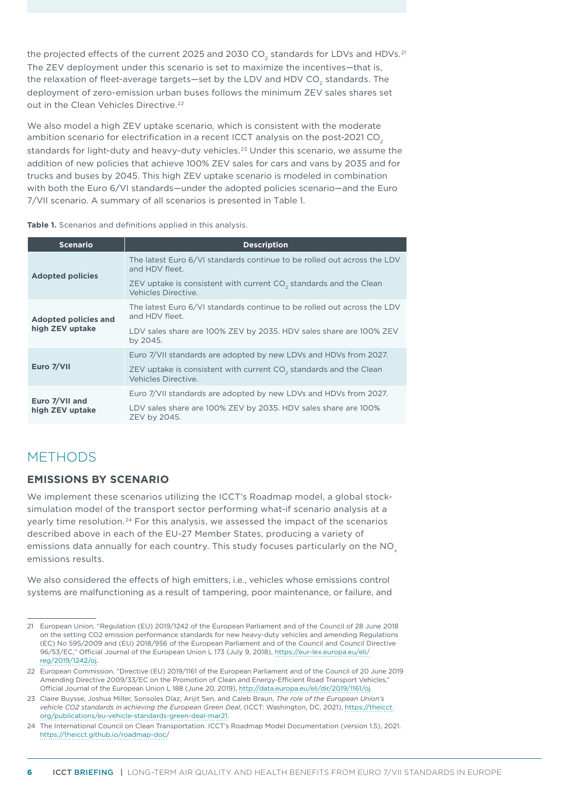the projected effects of the current 2025 and 2030 CO $_{_2}$  standards for LDVs and HDVs. $^\mathrm{21}$ The ZEV deployment under this scenario is set to maximize the incentives—that is, the relaxation of fleet-average targets—set by the LDV and HDV CO $_{\textrm{\tiny{2}}}$  standards. The deployment of zero-emission urban buses follows the minimum ZEV sales shares set out in the Clean Vehicles Directive.<sup>22</sup>

We also model a high ZEV uptake scenario*,* which is consistent with the moderate ambition scenario for electrification in a recent ICCT analysis on the post-2021 CO<sub>2</sub> standards for light-duty and heavy-duty vehicles.<sup>23</sup> Under this scenario, we assume the addition of new policies that achieve 100% ZEV sales for cars and vans by 2035 and for trucks and buses by 2045. This high ZEV uptake scenario is modeled in combination with both the Euro 6/VI standards—under the adopted policies scenario—and the Euro 7/VII scenario. A summary of all scenarios is presented in [Table 1](#page-5-0).

<span id="page-5-0"></span>**Table 1.** Scenarios and definitions applied in this analysis.

| <b>Scenario</b>                                | <b>Description</b>                                                                                   |
|------------------------------------------------|------------------------------------------------------------------------------------------------------|
| <b>Adopted policies</b>                        | The latest Euro 6/VI standards continue to be rolled out across the LDV<br>and HDV fleet.            |
|                                                | ZEV uptake is consistent with current CO <sub>2</sub> standards and the Clean<br>Vehicles Directive  |
| <b>Adopted policies and</b><br>high ZEV uptake | The latest Euro 6/VI standards continue to be rolled out across the LDV<br>and HDV fleet.            |
|                                                | LDV sales share are 100% ZEV by 2035. HDV sales share are 100% ZEV<br>by 2045.                       |
| Euro 7/VII                                     | Euro 7/VII standards are adopted by new LDVs and HDVs from 2027.                                     |
|                                                | ZEV uptake is consistent with current CO <sub>2</sub> standards and the Clean<br>Vehicles Directive. |
| Euro 7/VII and<br>high ZEV uptake              | Euro 7/VII standards are adopted by new LDVs and HDVs from 2027.                                     |
|                                                | LDV sales share are 100% ZEV by 2035. HDV sales share are 100%<br>ZEV by 2045.                       |

## METHODS

### **EMISSIONS BY SCENARIO**

We implement these scenarios utilizing the ICCT's Roadmap model, a global stocksimulation model of the transport sector performing what-if scenario analysis at a yearly time resolution.<sup>24</sup> For this analysis, we assessed the impact of the scenarios described above in each of the EU-27 Member States, producing a variety of emissions data annually for each country. This study focuses particularly on the NO<sub>y</sub> emissions results.

We also considered the effects of high emitters, i.e., vehicles whose emissions control systems are malfunctioning as a result of tampering, poor maintenance, or failure, and

<sup>21</sup> European Union, "Regulation (EU) 2019/1242 of the European Parliament and of the Council of 28 June 2018 on the setting CO2 emission performance standards for new heavy-duty vehicles and amending Regulations (EC) No 595/2009 and (EU) 2018/956 of the European Parliament and of the Council and Council Directive 96/53/EC," Official Journal of the European Union L 173 (July 9, 2018), [https://eur-lex.europa.eu/eli/](https://eur-lex.europa.eu/eli/reg/2019/1242/oj) [reg/2019/1242/oj](https://eur-lex.europa.eu/eli/reg/2019/1242/oj).

<sup>22</sup> European Commission, "Directive (EU) 2019/1161 of the European Parliament and of the Council of 20 June 2019 Amending Directive 2009/33/EC on the Promotion of Clean and Energy-Efficient Road Transport Vehicles," Official Journal of the European Union L 188 (June 20, 2019),<http://data.europa.eu/eli/dir/2019/1161/oj>.

<sup>23</sup> Claire Buysse, Joshua Miller, Sonsoles Díaz, Arijit Sen, and Caleb Braun, *The role of the European Union's vehicle CO2 standards in achieving the European Green Deal*, (ICCT: Washington, DC, 2021), [https://theicct.](https://theicct.org/publications/eu-vehicle-standards-green-deal-mar21) [org/publications/eu-vehicle-standards-green-deal-mar21.](https://theicct.org/publications/eu-vehicle-standards-green-deal-mar21)

<sup>24</sup> The International Council on Clean Transportation. ICCT's Roadmap Model Documentation (version 1.5), 2021. [https://theicct.github.io/roadmap-doc/](https://theicct.github.io/roadmap-doc)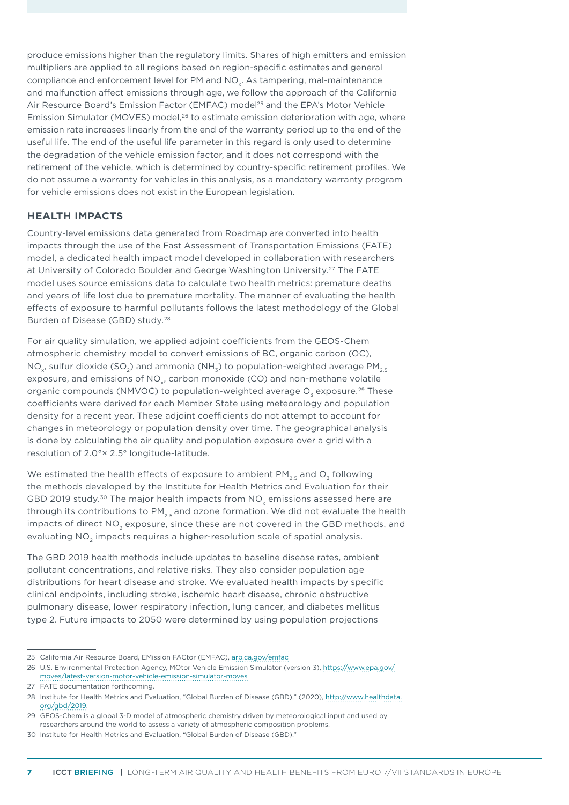produce emissions higher than the regulatory limits. Shares of high emitters and emission multipliers are applied to all regions based on region-specific estimates and general compliance and enforcement level for PM and NO<sub>v</sub>. As tampering, mal-maintenance and malfunction affect emissions through age, we follow the approach of the California Air Resource Board's Emission Factor (EMFAC) model<sup>25</sup> and the EPA's Motor Vehicle Emission Simulator (MOVES) model, $26$  to estimate emission deterioration with age, where emission rate increases linearly from the end of the warranty period up to the end of the useful life. The end of the useful life parameter in this regard is only used to determine the degradation of the vehicle emission factor, and it does not correspond with the retirement of the vehicle, which is determined by country-specific retirement profiles. We do not assume a warranty for vehicles in this analysis, as a mandatory warranty program for vehicle emissions does not exist in the European legislation.

#### **HEALTH IMPACTS**

Country-level emissions data generated from Roadmap are converted into health impacts through the use of the Fast Assessment of Transportation Emissions (FATE) model, a dedicated health impact model developed in collaboration with researchers at University of Colorado Boulder and George Washington University.<sup>27</sup> The FATE model uses source emissions data to calculate two health metrics: premature deaths and years of life lost due to premature mortality. The manner of evaluating the health effects of exposure to harmful pollutants follows the latest methodology of the Global Burden of Disease (GBD) study.28

For air quality simulation, we applied adjoint coefficients from the GEOS-Chem atmospheric chemistry model to convert emissions of BC, organic carbon (OC), NO<sub>y</sub>, sulfur dioxide (SO<sub>2</sub>) and ammonia (NH<sub>2</sub>) to population-weighted average PM<sub>2.5</sub> exposure, and emissions of NO<sub>y</sub>, carbon monoxide (CO) and non-methane volatile organic compounds (NMVOC) to population-weighted average O<sub>2</sub> exposure.<sup>29</sup> These coefficients were derived for each Member State using meteorology and population density for a recent year. These adjoint coefficients do not attempt to account for changes in meteorology or population density over time. The geographical analysis is done by calculating the air quality and population exposure over a grid with a resolution of 2.0°× 2.5° longitude-latitude.

We estimated the health effects of exposure to ambient PM<sub>2.5</sub> and O<sub>3</sub> following the methods developed by the Institute for Health Metrics and Evaluation for their GBD 2019 study.<sup>30</sup> The major health impacts from  $NO<sub>x</sub>$  emissions assessed here are through its contributions to  $PM_{2.5}$  and ozone formation. We did not evaluate the health impacts of direct NO<sub>2</sub> exposure, since these are not covered in the GBD methods, and evaluating  $NO<sub>2</sub>$  impacts requires a higher-resolution scale of spatial analysis.

The GBD 2019 health methods include updates to baseline disease rates, ambient pollutant concentrations, and relative risks. They also consider population age distributions for heart disease and stroke. We evaluated health impacts by specific clinical endpoints, including stroke, ischemic heart disease, chronic obstructive pulmonary disease, lower respiratory infection, lung cancer, and diabetes mellitus type 2. Future impacts to 2050 were determined by using population projections

<sup>25</sup> California Air Resource Board, EMission FACtor (EMFAC), [arb.ca.gov/emfac](http://arb.ca.gov/emfac)

<sup>26</sup> U.S. Environmental Protection Agency, MOtor Vehicle Emission Simulator (version 3), https://www.epa.gov/ moves/latest-version-motor-vehicle-emission-simulator-moves

<sup>27</sup> FATE documentation forthcoming.

<sup>28</sup> Institute for Health Metrics and Evaluation, "Global Burden of Disease (GBD)," (2020), [http://www.healthdata.](http://www.healthdata.org/gbd/2019) [org/gbd/2019](http://www.healthdata.org/gbd/2019).

<sup>29</sup> GEOS-Chem is a global 3-D model of atmospheric chemistry driven by meteorological input and used by researchers around the world to assess a variety of atmospheric composition problems.

<sup>30</sup> Institute for Health Metrics and Evaluation, "Global Burden of Disease (GBD)."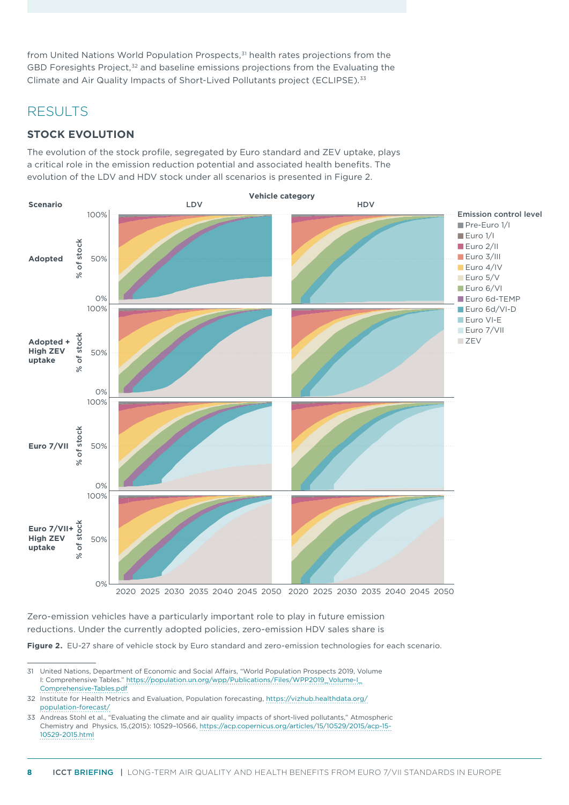from United Nations World Population Prospects,<sup>31</sup> health rates projections from the GBD Foresights Project, $32$  and baseline emissions projections from the Evaluating the Climate and Air Quality Impacts of Short-Lived Pollutants project (ECLIPSE).33

## RESULTS

## **STOCK EVOLUTION**

The evolution of the stock profile, segregated by Euro standard and ZEV uptake, plays a critical role in the emission reduction potential and associated health benefits. The evolution of the LDV and HDV stock under all scenarios is presented in Figure 2.



Zero-emission vehicles have a particularly important role to play in future emission reductions. Under the currently adopted policies, zero-emission HDV sales share is

**Figure 2.** EU-27 share of vehicle stock by Euro standard and zero-emission technologies for each scenario.

32 Institute for Health Metrics and Evaluation, Population forecasting, [https://vizhub.healthdata.org/](https://vizhub.healthdata.org/population-forecast/) [population-forecast/](https://vizhub.healthdata.org/population-forecast/)

<sup>31</sup> United Nations, Department of Economic and Social Affairs, "World Population Prospects 2019, Volume I: Comprehensive Tables." [https://population.un.org/wpp/Publications/Files/WPP2019\\_Volume-I\\_](https://population.un.org/wpp/Publications/Files/WPP2019_Volume-I_Comprehensive-Tables.pdf) [Comprehensive-Tables.pdf](https://population.un.org/wpp/Publications/Files/WPP2019_Volume-I_Comprehensive-Tables.pdf)

<sup>33</sup> Andreas Stohl et al., "Evaluating the climate and air quality impacts of short-lived pollutants," Atmospheric Chemistry and Physics, 15,(2015): 10529–10566, [https://acp.copernicus.org/articles/15/10529/2015/acp-15-](https://acp.copernicus.org/articles/15/10529/2015/acp-15-10529-2015.html) [10529-2015.html](https://acp.copernicus.org/articles/15/10529/2015/acp-15-10529-2015.html)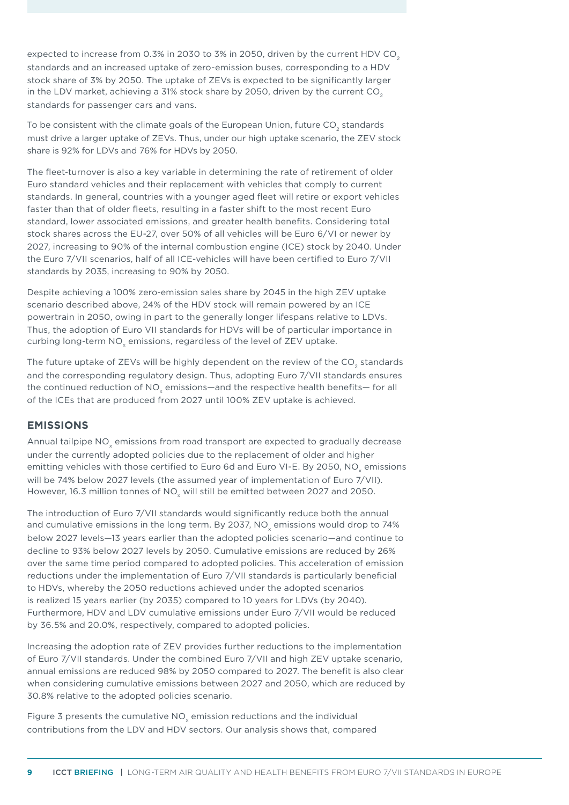expected to increase from 0.3% in 2030 to 3% in 2050, driven by the current HDV CO<sub>2</sub> standards and an increased uptake of zero-emission buses, corresponding to a HDV stock share of 3% by 2050. The uptake of ZEVs is expected to be significantly larger in the LDV market, achieving a 31% stock share by 2050, driven by the current  $CO<sub>2</sub>$ standards for passenger cars and vans.

To be consistent with the climate goals of the European Union, future CO $_{\textrm{\tiny{2}}}$  standards must drive a larger uptake of ZEVs. Thus, under our high uptake scenario, the ZEV stock share is 92% for LDVs and 76% for HDVs by 2050.

The fleet-turnover is also a key variable in determining the rate of retirement of older Euro standard vehicles and their replacement with vehicles that comply to current standards. In general, countries with a younger aged fleet will retire or export vehicles faster than that of older fleets, resulting in a faster shift to the most recent Euro standard, lower associated emissions, and greater health benefits. Considering total stock shares across the EU-27, over 50% of all vehicles will be Euro 6/VI or newer by 2027, increasing to 90% of the internal combustion engine (ICE) stock by 2040. Under the Euro 7/VII scenarios, half of all ICE-vehicles will have been certified to Euro 7/VII standards by 2035, increasing to 90% by 2050.

Despite achieving a 100% zero-emission sales share by 2045 in the high ZEV uptake scenario described above, 24% of the HDV stock will remain powered by an ICE powertrain in 2050, owing in part to the generally longer lifespans relative to LDVs. Thus, the adoption of Euro VII standards for HDVs will be of particular importance in curbing long-term NO $_{\sf x}$  emissions, regardless of the level of ZEV uptake.

The future uptake of ZEVs will be highly dependent on the review of the CO<sub>2</sub> standards and the corresponding regulatory design. Thus, adopting Euro 7/VII standards ensures the continued reduction of NO $_{\sf x}$  emissions—and the respective health benefits— for all of the ICEs that are produced from 2027 until 100% ZEV uptake is achieved.

### **EMISSIONS**

Annual tailpipe NO $_{\sf x}$  emissions from road transport are expected to gradually decrease under the currently adopted policies due to the replacement of older and higher emitting vehicles with those certified to Euro 6d and Euro VI-E. By 2050, NO $_{\mathrm{\mathsf{x}}}$  emissions will be 74% below 2027 levels (the assumed year of implementation of Euro 7/VII). However, 16.3 million tonnes of NO $_{\mathrm{\mathsf{x}}}$  will still be emitted between 2027 and 2050.

The introduction of Euro 7/VII standards would significantly reduce both the annual and cumulative emissions in the long term. By 2037, NO $_{\mathrm{\mathsf{x}}}$  emissions would drop to 74% below 2027 levels—13 years earlier than the adopted policies scenario—and continue to decline to 93% below 2027 levels by 2050. Cumulative emissions are reduced by 26% over the same time period compared to adopted policies. This acceleration of emission reductions under the implementation of Euro 7/VII standards is particularly beneficial to HDVs, whereby the 2050 reductions achieved under the adopted scenarios is realized 15 years earlier (by 2035) compared to 10 years for LDVs (by 2040). Furthermore, HDV and LDV cumulative emissions under Euro 7/VII would be reduced by 36.5% and 20.0%, respectively, compared to adopted policies.

Increasing the adoption rate of ZEV provides further reductions to the implementation of Euro 7/VII standards. Under the combined Euro 7/VII and high ZEV uptake scenario, annual emissions are reduced 98% by 2050 compared to 2027. The benefit is also clear when considering cumulative emissions between 2027 and 2050, which are reduced by 30.8% relative to the adopted policies scenario.

[Figure 3](#page-9-0) presents the cumulative NO<sub>x</sub> emission reductions and the individual contributions from the LDV and HDV sectors. Our analysis shows that, compared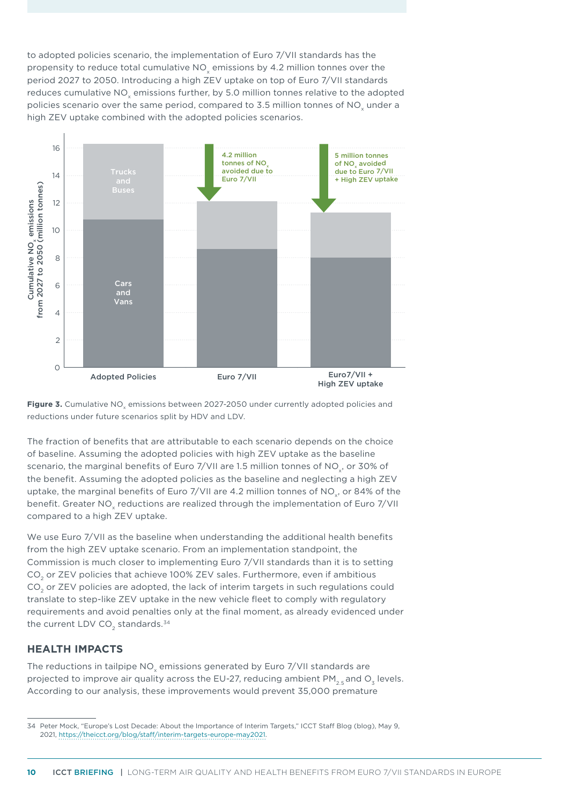to adopted policies scenario, the implementation of Euro 7/VII standards has the propensity to reduce total cumulative NO<sub>v</sub> emissions by 4.2 million tonnes over the period 2027 to 2050. Introducing a high ZEV uptake on top of Euro 7/VII standards reduces cumulative NO<sub>v</sub> emissions further, by 5.0 million tonnes relative to the adopted policies scenario over the same period, compared to 3.5 million tonnes of NO<sub>y</sub> under a high ZEV uptake combined with the adopted policies scenarios.



<span id="page-9-0"></span>

The fraction of benefits that are attributable to each scenario depends on the choice of baseline. Assuming the adopted policies with high ZEV uptake as the baseline scenario, the marginal benefits of Euro 7/VII are 1.5 million tonnes of NO, or 30% of the benefit. Assuming the adopted policies as the baseline and neglecting a high ZEV uptake, the marginal benefits of Euro 7/VII are 4.2 million tonnes of NO<sub>y</sub>, or 84% of the benefit. Greater NO<sub>v</sub> reductions are realized through the implementation of Euro 7/VII compared to a high ZEV uptake.

We use Euro 7/VII as the baseline when understanding the additional health benefits from the high ZEV uptake scenario. From an implementation standpoint, the Commission is much closer to implementing Euro 7/VII standards than it is to setting CO<sub>2</sub> or ZEV policies that achieve 100% ZEV sales. Furthermore, even if ambitious CO<sub>2</sub> or ZEV policies are adopted, the lack of interim targets in such regulations could translate to step-like ZEV uptake in the new vehicle fleet to comply with regulatory requirements and avoid penalties only at the final moment, as already evidenced under the current LDV CO<sub>2</sub> standards.<sup>34</sup>

### **HEALTH IMPACTS**

The reductions in tailpipe NO<sub>v</sub> emissions generated by Euro 7/VII standards are projected to improve air quality across the EU-27, reducing ambient  $PM_{25}$  and O<sub>3</sub> levels. According to our analysis, these improvements would prevent 35,000 premature

<sup>34</sup> Peter Mock, "Europe's Lost Decade: About the Importance of Interim Targets," ICCT Staff Blog (blog), May 9, 2021, [https://theicct.org/blog/staff/interim-targets-europe-may2021.](https://theicct.org/blog/staff/interim-targets-europe-may2021)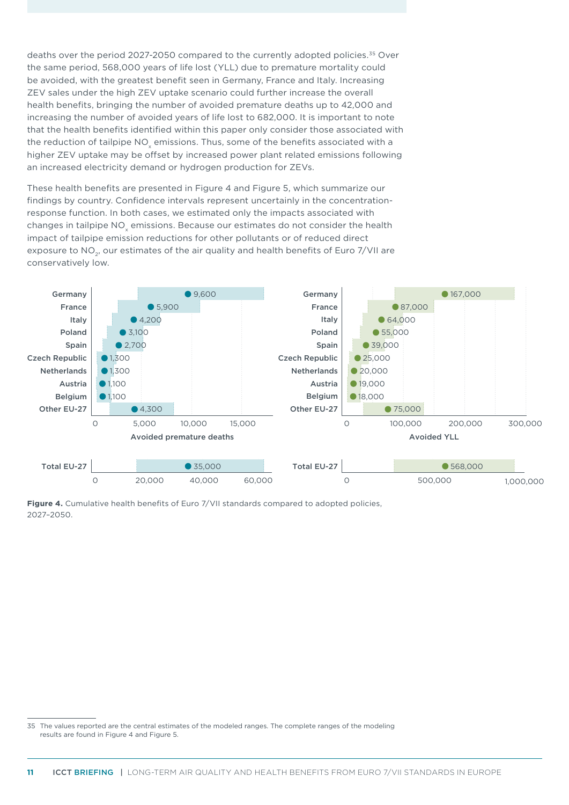deaths over the period 2027-2050 compared to the currently adopted policies.35 Over the same period, 568,000 years of life lost (YLL) due to premature mortality could be avoided, with the greatest benefit seen in Germany, France and Italy. Increasing ZEV sales under the high ZEV uptake scenario could further increase the overall health benefits, bringing the number of avoided premature deaths up to 42,000 and increasing the number of avoided years of life lost to 682,000. It is important to note that the health benefits identified within this paper only consider those associated with the reduction of tailpipe NO<sub>x</sub> emissions. Thus, some of the benefits associated with a higher ZEV uptake may be offset by increased power plant related emissions following an increased electricity demand or hydrogen production for ZEVs.

These health benefits are presented in [Figure 4](#page-10-0) and [Figure 5,](#page-11-0) which summarize our findings by country. Confidence intervals represent uncertainly in the concentrationresponse function. In both cases, we estimated only the impacts associated with changes in tailpipe NO<sub>s</sub> emissions. Because our estimates do not consider the health impact of tailpipe emission reductions for other pollutants or of reduced direct exposure to NO<sub>2</sub>, our estimates of the air quality and health benefits of Euro 7/VII are conservatively low.



<span id="page-10-0"></span>**Figure 4.** Cumulative health benefits of Euro 7/VII standards compared to adopted policies, 2027–2050.

<sup>35</sup> The values reported are the central estimates of the modeled ranges. The complete ranges of the modeling results are found in Figure 4 and Figure 5.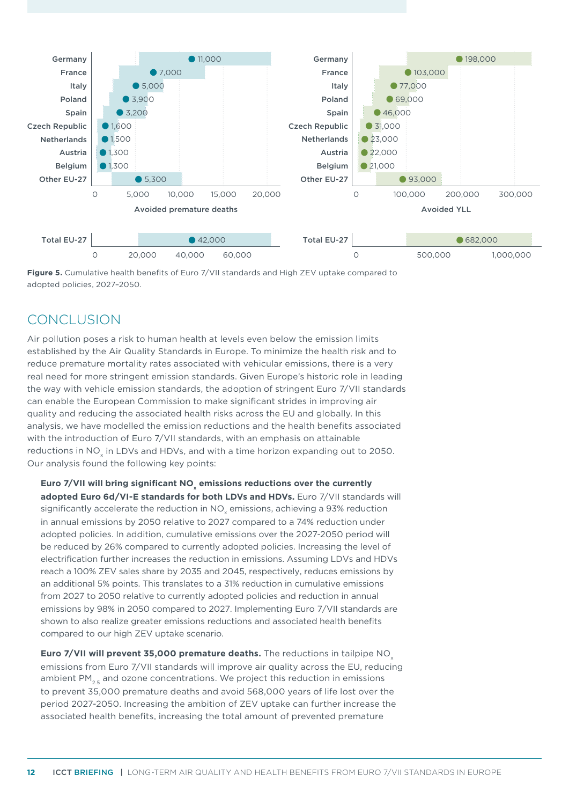

<span id="page-11-0"></span>**Figure 5.** Cumulative health benefits of Euro 7/VII standards and High ZEV uptake compared to adopted policies, 2027–2050.

# CONCLUSION

Air pollution poses a risk to human health at levels even below the emission limits established by the Air Quality Standards in Europe. To minimize the health risk and to reduce premature mortality rates associated with vehicular emissions, there is a very real need for more stringent emission standards. Given Europe's historic role in leading the way with vehicle emission standards, the adoption of stringent Euro 7/VII standards can enable the European Commission to make significant strides in improving air quality and reducing the associated health risks across the EU and globally. In this analysis, we have modelled the emission reductions and the health benefits associated with the introduction of Euro 7/VII standards, with an emphasis on attainable reductions in NO<sub>v</sub> in LDVs and HDVs, and with a time horizon expanding out to 2050. Our analysis found the following key points:

**Euro 7/VII will bring significant NO<sup>x</sup> emissions reductions over the currently adopted Euro 6d/VI-E standards for both LDVs and HDVs.** Euro 7/VII standards will significantly accelerate the reduction in NO<sub>x</sub> emissions, achieving a 93% reduction in annual emissions by 2050 relative to 2027 compared to a 74% reduction under adopted policies. In addition, cumulative emissions over the 2027-2050 period will be reduced by 26% compared to currently adopted policies. Increasing the level of electrification further increases the reduction in emissions. Assuming LDVs and HDVs reach a 100% ZEV sales share by 2035 and 2045, respectively, reduces emissions by an additional 5% points. This translates to a 31% reduction in cumulative emissions from 2027 to 2050 relative to currently adopted policies and reduction in annual emissions by 98% in 2050 compared to 2027. Implementing Euro 7/VII standards are shown to also realize greater emissions reductions and associated health benefits compared to our high ZEV uptake scenario.

**Euro 7/VII will prevent 35,000 premature deaths.** The reductions in tailpipe NO<sub>x</sub> emissions from Euro 7/VII standards will improve air quality across the EU, reducing ambient  $PM_{2.5}$  and ozone concentrations. We project this reduction in emissions to prevent 35,000 premature deaths and avoid 568,000 years of life lost over the period 2027-2050. Increasing the ambition of ZEV uptake can further increase the associated health benefits, increasing the total amount of prevented premature